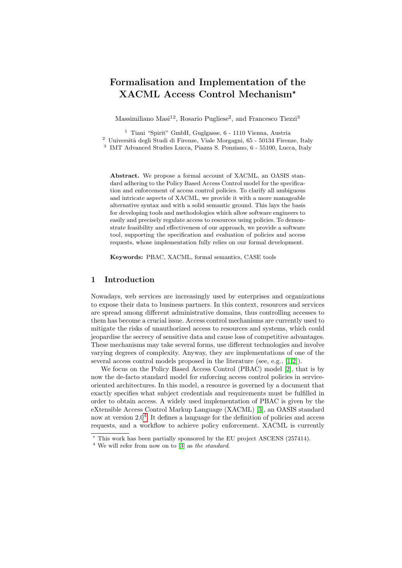# Formalisation and Implementation of the XACML Access Control Mechanism?

Massimiliano Masi<sup>12</sup>, Rosario Pugliese<sup>2</sup>, and Francesco Tiezzi<sup>3</sup>

<sup>1</sup> Tiani "Spirit" GmbH, Guglgasse, 6 - 1110 Vienna, Austria

 $2$  Università degli Studi di Firenze, Viale Morgagni, 65 - 50134 Firenze, Italy

3 IMT Advanced Studies Lucca, Piazza S. Ponziano, 6 - 55100, Lucca, Italy

Abstract. We propose a formal account of XACML, an OASIS standard adhering to the Policy Based Access Control model for the specification and enforcement of access control policies. To clarify all ambiguous and intricate aspects of XACML, we provide it with a more manageable alternative syntax and with a solid semantic ground. This lays the basis for developing tools and methodologies which allow software engineers to easily and precisely regulate access to resources using policies. To demonstrate feasibility and effectiveness of our approach, we provide a software tool, supporting the specification and evaluation of policies and access requests, whose implementation fully relies on our formal development.

Keywords: PBAC, XACML, formal semantics, CASE tools

## 1 Introduction

Nowadays, web services are increasingly used by enterprises and organizations to expose their data to business partners. In this context, resources and services are spread among different administrative domains, thus controlling accesses to them has become a crucial issue. Access control mechanisms are currently used to mitigate the risks of unauthorized access to resources and systems, which could jeopardise the secrecy of sensitive data and cause loss of competitive advantages. These mechanisms may take several forms, use different technologies and involve varying degrees of complexity. Anyway, they are implementations of one of the several access control models proposed in the literature (see, e.g., [\[1,](#page-12-0)[2\]](#page-12-1)).

We focus on the Policy Based Access Control (PBAC) model [\[2\]](#page-12-1), that is by now the de-facto standard model for enforcing access control policies in serviceoriented architectures. In this model, a resource is governed by a document that exactly specifies what subject credentials and requirements must be fulfilled in order to obtain access. A widely used implementation of PBAC is given by the eXtensible Access Control Markup Language (XACML) [\[3\]](#page-12-2), an OASIS standard now at version  $2.0<sup>4</sup>$  $2.0<sup>4</sup>$  $2.0<sup>4</sup>$ . It defines a language for the definition of policies and access requests, and a workflow to achieve policy enforcement. XACML is currently

<sup>?</sup> This work has been partially sponsored by the EU project ASCENS (257414).

<span id="page-0-0"></span> $4$  We will refer from now on to  $[3]$  as the standard.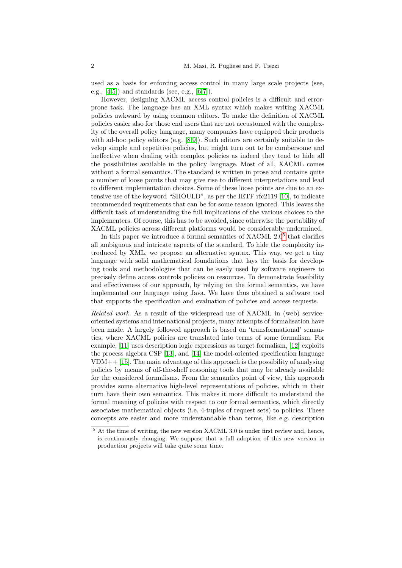used as a basis for enforcing access control in many large scale projects (see, e.g., [\[4,](#page-12-3)[5\]](#page-12-4)) and standards (see, e.g., [\[6,](#page-12-5)[7\]](#page-12-6)).

However, designing XACML access control policies is a difficult and errorprone task. The language has an XML syntax which makes writing XACML policies awkward by using common editors. To make the definition of XACML policies easier also for those end users that are not accustomed with the complexity of the overall policy language, many companies have equipped their products with ad-hoc policy editors (e.g. [\[8,](#page-12-7)[9\]](#page-12-8)). Such editors are certainly suitable to develop simple and repetitive policies, but might turn out to be cumbersome and ineffective when dealing with complex policies as indeed they tend to hide all the possibilities available in the policy language. Most of all, XACML comes without a formal semantics. The standard is written in prose and contains quite a number of loose points that may give rise to different interpretations and lead to different implementation choices. Some of these loose points are due to an extensive use of the keyword "SHOULD", as per the IETF rfc2119 [\[10\]](#page-12-9), to indicate recommended requirements that can be for some reason ignored. This leaves the difficult task of understanding the full implications of the various choices to the implementers. Of course, this has to be avoided, since otherwise the portability of XACML policies across different platforms would be considerably undermined.

In this paper we introduce a formal semantics of XACML  $2.0<sup>5</sup>$  $2.0<sup>5</sup>$  $2.0<sup>5</sup>$  that clarifies all ambiguous and intricate aspects of the standard. To hide the complexity introduced by XML, we propose an alternative syntax. This way, we get a tiny language with solid mathematical foundations that lays the basis for developing tools and methodologies that can be easily used by software engineers to precisely define access controls policies on resources. To demonstrate feasibility and effectiveness of our approach, by relying on the formal semantics, we have implemented our language using Java. We have thus obtained a software tool that supports the specification and evaluation of policies and access requests.

Related work. As a result of the widespread use of XACML in (web) serviceoriented systems and international projects, many attempts of formalisation have been made. A largely followed approach is based on 'transformational' semantics, where XACML policies are translated into terms of some formalism. For example, [\[11\]](#page-12-10) uses description logic expressions as target formalism, [\[12\]](#page-13-0) exploits the process algebra CSP [\[13\]](#page-13-1), and [\[14\]](#page-13-2) the model-oriented specification language VDM $++$  [\[15\]](#page-13-3). The main advantage of this approach is the possibility of analysing policies by means of off-the-shelf reasoning tools that may be already available for the considered formalisms. From the semantics point of view, this approach provides some alternative high-level representations of policies, which in their turn have their own semantics. This makes it more difficult to understand the formal meaning of policies with respect to our formal semantics, which directly associates mathematical objects (i.e. 4-tuples of request sets) to policies. These concepts are easier and more understandable than terms, like e.g. description

<span id="page-1-0"></span><sup>5</sup> At the time of writing, the new version XACML 3.0 is under first review and, hence, is continuously changing. We suppose that a full adoption of this new version in production projects will take quite some time.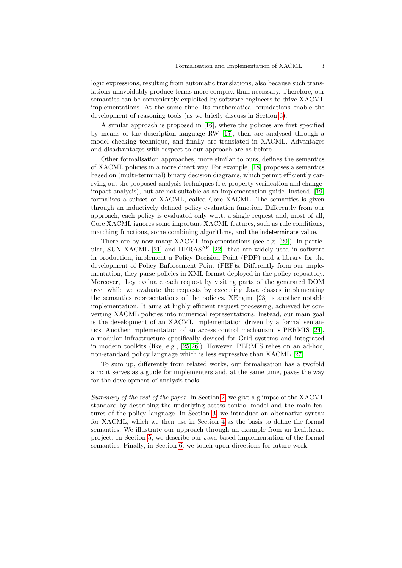logic expressions, resulting from automatic translations, also because such translations unavoidably produce terms more complex than necessary. Therefore, our semantics can be conveniently exploited by software engineers to drive XACML implementations. At the same time, its mathematical foundations enable the development of reasoning tools (as we briefly discuss in Section [6\)](#page-11-0).

A similar approach is proposed in [\[16\]](#page-13-4), where the policies are first specified by means of the description language RW [\[17\]](#page-13-5), then are analysed through a model checking technique, and finally are translated in XACML. Advantages and disadvantages with respect to our approach are as before.

Other formalisation approaches, more similar to ours, defines the semantics of XACML policies in a more direct way. For example, [\[18\]](#page-13-6) proposes a semantics based on (multi-terminal) binary decision diagrams, which permit efficiently carrying out the proposed analysis techniques (i.e. property verification and changeimpact analysis), but are not suitable as an implementation guide. Instead, [\[19\]](#page-13-7) formalises a subset of XACML, called Core XACML. The semantics is given through an inductively defined policy evaluation function. Differently from our approach, each policy is evaluated only w.r.t. a single request and, most of all, Core XACML ignores some important XACML features, such as rule conditions, matching functions, some combining algorithms, and the indeterminate value.

There are by now many XACML implementations (see e.g. [\[20\]](#page-13-8)). In partic-ular, SUN XACML [\[21\]](#page-13-9) and HERAS<sup>AF</sup> [\[22\]](#page-13-10), that are widely used in software in production, implement a Policy Decision Point (PDP) and a library for the development of Policy Enforcement Point (PEP)s. Differently from our implementation, they parse policies in XML format deployed in the policy repository. Moreover, they evaluate each request by visiting parts of the generated DOM tree, while we evaluate the requests by executing Java classes implementing the semantics representations of the policies. XEngine [\[23\]](#page-13-11) is another notable implementation. It aims at highly efficient request processing, achieved by converting XACML policies into numerical representations. Instead, our main goal is the development of an XACML implementation driven by a formal semantics. Another implementation of an access control mechanism is PERMIS [\[24\]](#page-13-12), a modular infrastructure specifically devised for Grid systems and integrated in modern toolkits (like, e.g., [\[25,](#page-13-13)[26\]](#page-13-14)). However, PERMIS relies on an ad-hoc, non-standard policy language which is less expressive than XACML [\[27\]](#page-13-15).

To sum up, differently from related works, our formalisation has a twofold aim: it serves as a guide for implementers and, at the same time, paves the way for the development of analysis tools.

Summary of the rest of the paper. In Section [2,](#page-3-0) we give a glimpse of the XACML standard by describing the underlying access control model and the main features of the policy language. In Section [3,](#page-4-0) we introduce an alternative syntax for XACML, which we then use in Section [4](#page-8-0) as the basis to define the formal semantics. We illustrate our approach through an example from an healthcare project. In Section [5,](#page-10-0) we describe our Java-based implementation of the formal semantics. Finally, in Section [6,](#page-11-0) we touch upon directions for future work.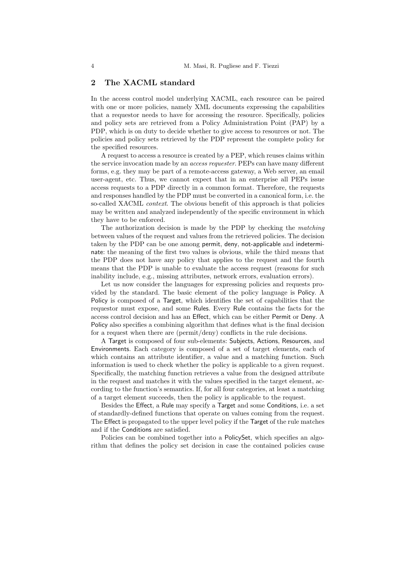### <span id="page-3-0"></span>2 The XACML standard

In the access control model underlying XACML, each resource can be paired with one or more policies, namely XML documents expressing the capabilities that a requestor needs to have for accessing the resource. Specifically, policies and policy sets are retrieved from a Policy Administration Point (PAP) by a PDP, which is on duty to decide whether to give access to resources or not. The policies and policy sets retrieved by the PDP represent the complete policy for the specified resources.

A request to access a resource is created by a PEP, which reuses claims within the service invocation made by an access requester. PEPs can have many different forms, e.g. they may be part of a remote-access gateway, a Web server, an email user-agent, etc. Thus, we cannot expect that in an enterprise all PEPs issue access requests to a PDP directly in a common format. Therefore, the requests and responses handled by the PDP must be converted in a canonical form, i.e. the so-called XACML *context*. The obvious benefit of this approach is that policies may be written and analyzed independently of the specific environment in which they have to be enforced.

The authorization decision is made by the PDP by checking the matching between values of the request and values from the retrieved policies. The decision taken by the PDP can be one among permit, deny, not-applicable and indeterminate: the meaning of the first two values is obvious, while the third means that the PDP does not have any policy that applies to the request and the fourth means that the PDP is unable to evaluate the access request (reasons for such inability include, e.g., missing attributes, network errors, evaluation errors).

Let us now consider the languages for expressing policies and requests provided by the standard. The basic element of the policy language is Policy. A Policy is composed of a Target, which identifies the set of capabilities that the requestor must expose, and some Rules. Every Rule contains the facts for the access control decision and has an Effect, which can be either Permit or Deny. A Policy also specifies a combining algorithm that defines what is the final decision for a request when there are (permit/deny) conflicts in the rule decisions.

A Target is composed of four sub-elements: Subjects, Actions, Resources, and Environments. Each category is composed of a set of target elements, each of which contains an attribute identifier, a value and a matching function. Such information is used to check whether the policy is applicable to a given request. Specifically, the matching function retrieves a value from the designed attribute in the request and matches it with the values specified in the target element, according to the function's semantics. If, for all four categories, at least a matching of a target element succeeds, then the policy is applicable to the request.

Besides the Effect, a Rule may specify a Target and some Conditions, i.e. a set of standardly-defined functions that operate on values coming from the request. The Effect is propagated to the upper level policy if the Target of the rule matches and if the Conditions are satisfied.

Policies can be combined together into a PolicySet, which specifies an algorithm that defines the policy set decision in case the contained policies cause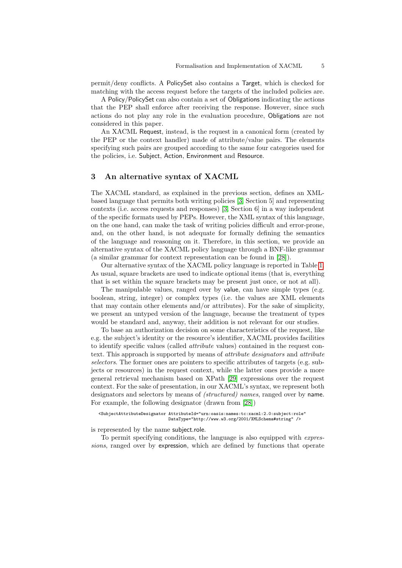permit/deny conflicts. A PolicySet also contains a Target, which is checked for matching with the access request before the targets of the included policies are.

A Policy/PolicySet can also contain a set of Obligations indicating the actions that the PEP shall enforce after receiving the response. However, since such actions do not play any role in the evaluation procedure, Obligations are not considered in this paper.

An XACML Request, instead, is the request in a canonical form (created by the PEP or the context handler) made of attribute/value pairs. The elements specifying such pairs are grouped according to the same four categories used for the policies, i.e. Subject, Action, Environment and Resource.

#### <span id="page-4-0"></span>3 An alternative syntax of XACML

The XACML standard, as explained in the previous section, defines an XMLbased language that permits both writing policies [\[3,](#page-12-2) Section 5] and representing contexts (i.e. access requests and responses) [\[3,](#page-12-2) Section 6] in a way independent of the specific formats used by PEPs. However, the XML syntax of this language, on the one hand, can make the task of writing policies difficult and error-prone, and, on the other hand, is not adequate for formally defining the semantics of the language and reasoning on it. Therefore, in this section, we provide an alternative syntax of the XACML policy language through a BNF-like grammar (a similar grammar for context representation can be found in [\[28\]](#page-13-16)).

Our alternative syntax of the XACML policy language is reported in Table [1.](#page-5-0) As usual, square brackets are used to indicate optional items (that is, everything that is set within the square brackets may be present just once, or not at all).

The manipulable values, ranged over by value, can have simple types (e.g. boolean, string, integer) or complex types (i.e. the values are XML elements that may contain other elements and/or attributes). For the sake of simplicity, we present an untyped version of the language, because the treatment of types would be standard and, anyway, their addition is not relevant for our studies.

To base an authorization decision on some characteristics of the request, like e.g. the subject's identity or the resource's identifier, XACML provides facilities to identify specific values (called attribute values) contained in the request context. This approach is supported by means of attribute designators and attribute selectors. The former ones are pointers to specific attributes of targets (e.g. subjects or resources) in the request context, while the latter ones provide a more general retrieval mechanism based on XPath [\[29\]](#page-13-17) expressions over the request context. For the sake of presentation, in our XACML's syntax, we represent both designators and selectors by means of (structured) names, ranged over by name. For example, the following designator (drawn from [\[28\]](#page-13-16))

<SubjectAttributeDesignator AttributeId="urn:oasis:names:tc:xacml:2.0:subject:role" DataType="http://www.w3.org/2001/XMLSchema#string" />

is represented by the name subject.role.

To permit specifying conditions, the language is also equipped with expressions, ranged over by expression, which are defined by functions that operate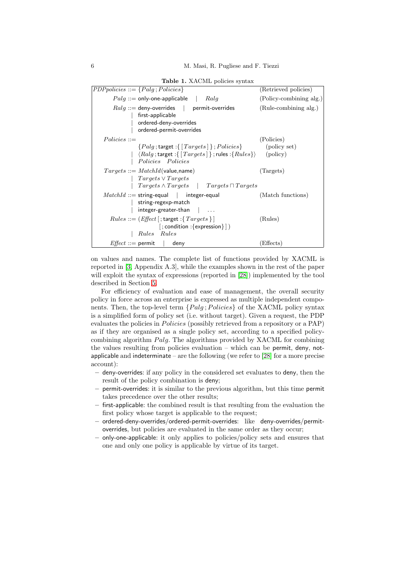<span id="page-5-0"></span>

|  |  | Table 1. XACML policies syntax |  |  |
|--|--|--------------------------------|--|--|
|--|--|--------------------------------|--|--|

| $PDP policies ::= {Palq;Policies}$                                                                                                                             | (Retrieved policies)    |
|----------------------------------------------------------------------------------------------------------------------------------------------------------------|-------------------------|
| $Palq ::=$ only-one-applicable $\Box$<br>Ralq                                                                                                                  | (Policy-combining alg.) |
| ${Ralg} ::=$ deny-overrides $ $ permit-overrides<br>first-applicable<br>ordered-deny-overrides<br>ordered-permit-overrides                                     | (Rule-combining alg.)   |
| $Policies ::=$                                                                                                                                                 | (Policies)              |
| ${Palg; \text{target}:} \{ {Targets} \}; Polices \}$<br>$\langle \text{Ralg}$ ; target : { $\{Targets\}$ }; rules : { $Rules$ }} (policy)<br>Policies Policies | (policy set)            |
| $Targets ::= MatchId$ (value, name)<br>$Targest \vee Targest$<br>$Targets \wedge Targets$   $Targets \sqcap Targets$                                           | (Targets)               |
| $MatchId ::=$ string-equal   integer-equal<br>string-regexp-match<br>$integer-greater-than$                                                                    | (Match functions)       |
| $Rules ::= (Effect [\text{; target} : \{ Target\})]$<br>$\vert$ ; condition : {expression } $\vert$ )<br>Rules Rules                                           | (Rules)                 |
| $Effect ::=$ permit  <br>deny                                                                                                                                  | (Effects)               |

on values and names. The complete list of functions provided by XACML is reported in [\[3,](#page-12-2) Appendix A.3], while the examples shown in the rest of the paper will exploit the syntax of expressions (reported in [\[28\]](#page-13-16)) implemented by the tool described in Section [5.](#page-10-0)

For efficiency of evaluation and ease of management, the overall security policy in force across an enterprise is expressed as multiple independent components. Then, the top-level term  ${Palq;Policies}$  of the XACML policy syntax is a simplified form of policy set (i.e. without target). Given a request, the PDP evaluates the policies in *Policies* (possibly retrieved from a repository or a PAP) as if they are organised as a single policy set, according to a specified policycombining algorithm  $Palg$ . The algorithms provided by XACML for combining the values resulting from policies evaluation – which can be permit, deny, notapplicable and indeterminate – are the following (we refer to  $[28]$  for a more precise account):

- deny-overrides: if any policy in the considered set evaluates to deny, then the result of the policy combination is deny;
- permit-overrides: it is similar to the previous algorithm, but this time permit takes precedence over the other results;
- first-applicable: the combined result is that resulting from the evaluation the first policy whose target is applicable to the request;
- ordered-deny-overrides/ordered-permit-overrides: like deny-overrides/permitoverrides, but policies are evaluated in the same order as they occur;
- only-one-applicable: it only applies to policies/policy sets and ensures that one and only one policy is applicable by virtue of its target.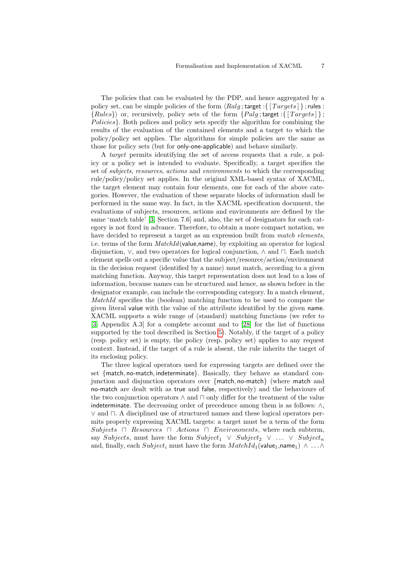The policies that can be evaluated by the PDP, and hence aggregated by a policy set, can be simple policies of the form  $\{Ralg; \text{target}: \{ | Targets | \} ; \text{rules} :$  ${Rules}\$  or, recursively, policy sets of the form  ${Palg; target:}{[Targets]};$ Policies}. Both polices and policy sets specify the algorithm for combining the results of the evaluation of the contained elements and a target to which the policy/policy set applies. The algorithms for simple policies are the same as those for policy sets (but for only-one-applicable) and behave similarly.

A target permits identifying the set of access requests that a rule, a policy or a policy set is intended to evaluate. Specifically, a target specifies the set of *subjects*, *resources*, *actions* and *environments* to which the corresponding rule/policy/policy set applies. In the original XML-based syntax of XACML, the target element may contain four elements, one for each of the above categories. However, the evaluation of these separate blocks of information shall be performed in the same way. In fact, in the XACML specification document, the evaluations of subjects, resources, actions and environments are defined by the same 'match table' [\[3,](#page-12-2) Section 7.6] and, also, the set of designators for each category is not fixed in advance. Therefore, to obtain a more compact notation, we have decided to represent a target as an expression built from match elements, i.e. terms of the form  $MatchId$  (value, name), by exploiting an operator for logical disjunction,  $\vee$ , and two operators for logical conjunction,  $\wedge$  and  $\Box$ . Each match element spells out a specific value that the subject/resource/action/environment in the decision request (identified by a name) must match, according to a given matching function. Anyway, this target representation does not lead to a loss of information, because names can be structured and hence, as shown before in the designator example, can include the corresponding category. In a match element, MatchId specifies the (boolean) matching function to be used to compare the given literal value with the value of the attribute identified by the given name. XACML supports a wide range of (standard) matching functions (we refer to [\[3,](#page-12-2) Appendix A.3] for a complete account and to [\[28\]](#page-13-16) for the list of functions supported by the tool described in Section [5\)](#page-10-0). Notably, if the target of a policy (resp. policy set) is empty, the policy (resp. policy set) applies to any request context. Instead, if the target of a rule is absent, the rule inherits the target of its enclosing policy.

The three logical operators used for expressing targets are defined over the set {match, no-match, indeterminate}. Basically, they behave as standard conjunction and disjunction operators over {match, no-match} (where match and no-match are dealt with as true and false, respectively) and the behaviours of the two conjunction operators  $\wedge$  and  $\Box$  only differ for the treatment of the value indeterminate. The decreasing order of precedence among them is as follows: ∧,  $\vee$  and  $\Box$ . A disciplined use of structured names and these logical operators permits properly expressing XACML targets: a target must be a term of the form Subjects  $\Box$  Resources  $\Box$  Actions  $\Box$  Environments, where each subterm, say Subjects, must have the form  $Subject_1 \vee Subject_2 \vee \dots \vee Subject_n$ and, finally, each  $Subject_i$  must have the form  $MatchId_1(\text{value}_1, \text{name}_1) \wedge ... \wedge$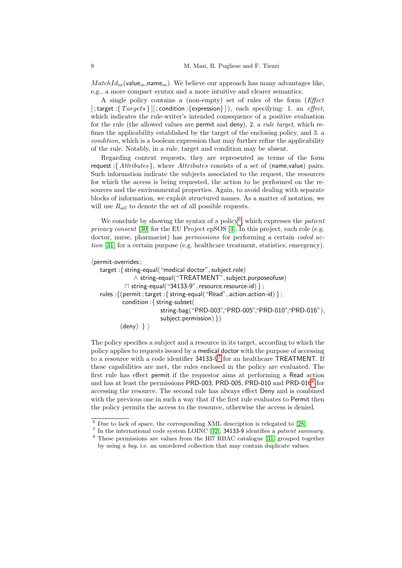$MatchId_m$ (value<sub>m</sub>,name<sub>m</sub>). We believe our approach has many advantages like, e.g., a more compact syntax and a more intuitive and clearer semantics.

A single policy contains a (non-empty) set of rules of the form (Effect [; target : {  $Targets$  } ][; condition : { expression } ]), each specifying: 1. an effect, which indicates the rule-writer's intended consequence of a positive evaluation for the rule (the allowed values are permit and deny), 2. a *rule target*, which refines the applicability established by the target of the enclosing policy, and 3. a condition, which is a boolean expression that may further refine the applicability of the rule. Notably, in a rule, target and condition may be absent.

Regarding context requests, they are represented as terms of the form request :{ Attributes }, where Attributes consists of a set of (name,value) pairs. Such information indicate the subjects associated to the request, the resources for which the access is being requested, the action to be performed on the resources and the environmental properties. Again, to avoid dealing with separate blocks of information, we exploit structured names. As a matter of notation, we will use  $R_{all}$  to denote the set of all possible requests.

We conclude by showing the syntax of a policy<sup>[6](#page-7-0)</sup>, which expresses the *patient* privacy consent  $[30]$  for the EU Project epSOS  $[4]$ . In this project, each role (e.g. doctor, nurse, pharmacist) has *permissions* for performing a certain *coded ac*tion [\[31\]](#page-13-19) for a certain purpose (e.g. healthcare treatment, statistics, emergency).

```
\langle permit-overrides;
```

```
target :{ string-equal("medical doctor",subject.role)
            ∧ string-equal("TREATMENT",subject.purposeofuse)
         \Box string-equal("34133-9", resource.resource-id) } ;
rules : { (permit; target : { string-equal("Read", action.action-id) } ;
        condition :{ string-subset(
                     string-bag("PRD-003","PRD-005","PRD-010","PRD-016"),
                     subject.permission) })
       (deny)} \rangle
```
The policy specifies a subject and a resource in its target, according to which the policy applies to requests issued by a medical doctor with the purpose of accessing to a resource with a code identifier  $34133-9^7$  $34133-9^7$  for an healthcare TREATMENT. If these capabilities are met, the rules enclosed in the policy are evaluated. The first rule has effect permit if the requestor aims at performing a Read action and has at least the permissions PRD-003, PRD-005, PRD-010 and PRD-016<sup>[8](#page-7-2)</sup> for accessing the resource. The second rule has always effect Deny and is combined with the previous one in such a way that if the first rule evaluates to Permit then the policy permits the access to the resource, otherwise the access is denied.

<span id="page-7-0"></span> $6$  Due to lack of space, the corresponding XML description is relegated to [\[28\]](#page-13-16).

<span id="page-7-1"></span><sup>&</sup>lt;sup>7</sup> In the international code system LOINC [\[32\]](#page-13-20), 34133-9 identifies a *patient summary*.

<span id="page-7-2"></span><sup>8</sup> These permissions are values from the Hl7 RBAC catalogue [\[31\]](#page-13-19) grouped together by using a bag, i.e. an unordered collection that may contain duplicate values.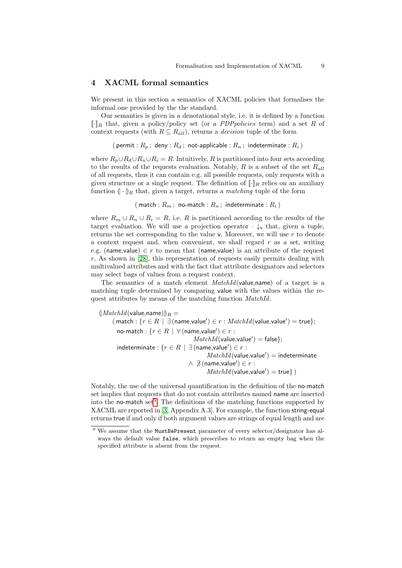#### <span id="page-8-0"></span>4 XACML formal semantics

We present in this section a semantics of XACML policies that formalises the informal one provided by the the standard.

Our semantics is given in a denotational style, i.e. it is defined by a function  $\llbracket \cdot \rrbracket_R$  that, given a policy/policy set (or a *PDP policies* term) and a set R of context requests (with  $R \subseteq R_{all}$ ), returns a *decision* tuple of the form

( permit :  $R_p$ ; deny :  $R_d$ ; not-applicable :  $R_n$ ; indeterminate :  $R_i$ )

where  $R_n \cup R_d \cup R_n \cup R_i = R$ . Intuitively, R is partitioned into four sets according to the results of the requests evaluation. Notably,  $R$  is a subset of the set  $R_{all}$ of all requests, thus it can contain e.g. all possible requests, only requests with a given structure or a single request. The definition of  $\llbracket \cdot \rrbracket_R$  relies on an auxiliary function  $(\cdot)_{R}$  that, given a target, returns a *matching* tuple of the form

(match :  $R_m$ ; no-match :  $R_n$ ; indeterminate :  $R_i$ )

where  $R_m \cup R_n \cup R_i = R$ , i.e. R is partitioned according to the results of the target evaluation. We will use a projection operator  $\cdot \downarrow_{v}$  that, given a tuple, returns the set corresponding to the value  $v$ . Moreover, we will use  $r$  to denote a context request and, when convenient, we shall regard  $r$  as a set, writing e.g. (name,value)  $\in r$  to mean that (name,value) is an attribute of the request r. As shown in  $[28]$ , this representation of requests easily permits dealing with multivalued attributes and with the fact that attribute designators and selectors may select bags of values from a request context.

The semantics of a match element  $MatchId$ (value,name) of a target is a matching tuple determined by comparing value with the values within the request attributes by means of the matching function *MatchId*.

 $(MatchId$ (value,name) $)$  $R =$ (match:  $\{r \in R \mid \exists (name, value') \in r : \text{MatchId}(\text{value}, value') = \text{true}\};$ no-match :  $\{r \in R \mid \forall$  (name,value')  $\in r$  :  $MatchId$ (value,value') = false};  $\textsf{indeterminate}: \{r \in R \, \mid \, \exists \, (\textsf{name}, \textsf{value}') \in r: \emptyset$  $MatchId$ (value,value') = indeterminate  $\land \nexists$  (name,value') ∈ r :  $MatchId$ (value,value') = true})

Notably, the use of the universal quantification in the definition of the no-match set implies that requests that do not contain attributes named name are inserted into the no-match set<sup>[9](#page-8-1)</sup>. The definitions of the matching functions supported by XACML are reported in [\[3,](#page-12-2) Appendix A.3]. For example, the function string-equal returns true if and only if both argument values are strings of equal length and are

<span id="page-8-1"></span> $9$  We assume that the MustBePresent parameter of every selector/designator has always the default value false, which prescribes to return an empty bag when the specified attribute is absent from the request.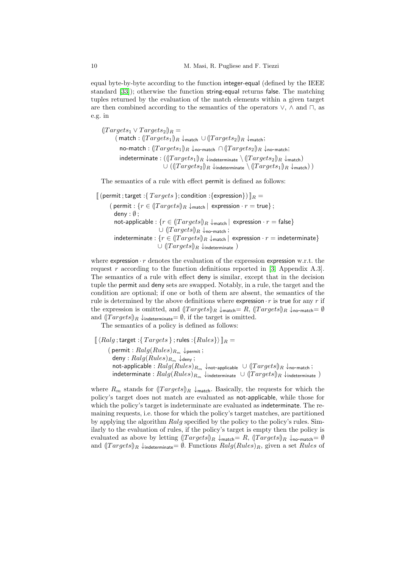equal byte-by-byte according to the function integer-equal (defined by the IEEE standard [\[33\]](#page-13-21)); otherwise the function string-equal returns false. The matching tuples returned by the evaluation of the match elements within a given target are then combined according to the semantics of the operators  $\vee$ ,  $\wedge$  and  $\Box$ , as e.g. in

 $(Targest_1 \vee Targets_2)$ <sub>R</sub> = ( match :  $(Targets_1)_R \downarrow$  match  $\cup$   $(Targets_2)_R \downarrow$  match; no-match :  $(Targets_1)_R \downarrow_{no-match} \cap (Targets_2)_R \downarrow_{no-match};$ indeterminate :  $((\text{Targets}_1)_R \downarrow_{\text{indeterminate}} \setminus (\text{Targets}_2)_R \downarrow_{\text{match}})$  $\cup$  ( $(Targets_2)$ R ↓indeterminate  $\setminus$   $(Targets_1)$ R ↓match))

The semantics of a rule with effect permit is defined as follows:

 $[($  (permit; target : ${Targets}$ ; condition : ${\{expression\}}$ ) $]_R =$ ( permit :  $\{r \in (T \text{argets})_{R} \downarrow \text{maxch} \mid \text{ expression} \cdot r = \text{true} \};$ deny :  $\emptyset$  ; not-applicable :  $\{r \in (T~argets)_{R} \downarrow$ <sub>match</sub> | expression ·  $r =$  false $\}$  $\cup$  ( $Targests$ ) $_R$   $\downarrow$ no-match; indeterminate :  $\{r \in (Targets)_{R} \downarrow$ <sub>match</sub> | expression ·  $r =$  indeterminate}  $\cup$  ( $Targets$ ) $_R$  ↓indeterminate)

where expression  $\cdot r$  denotes the evaluation of the expression expression w.r.t. the request r according to the function definitions reported in [\[3,](#page-12-2) Appendix A.3]. The semantics of a rule with effect deny is similar, except that in the decision tuple the permit and deny sets are swapped. Notably, in a rule, the target and the condition are optional; if one or both of them are absent, the semantics of the rule is determined by the above definitions where expression  $\cdot r$  is true for any r if the expression is omitted, and  $(Targest)_{R} \downarrow$ <sub>match</sub>= R,  $(Targest)_{R} \downarrow$ <sub>no-match</sub>= Ø and  $(Targets)$ <sub>R</sub>  $\downarrow$ <sub>indeterminate</sub>=  $\emptyset$ , if the target is omitted.

The semantics of a policy is defined as follows:

 $\llbracket \langle \mathit{Ralg} \text{ ; target : } \{\mathit{Targets}\}\} \text{ ; rules : } \{\mathit{Rules}\}\rangle \rrbracket_R =$ ( permit :  $Ralg(Rules)_{R_m} \downarrow_{\text{permit}}$  ; deny :  $Ralg(Rules)_{R_m} \downarrow_{\text{deny}}$ ; not-applicable :  $\text{Radg}(Rules)_{R_m}$   $\downarrow$ not-applicable  $\cup$   $\langle \text{Targets} \rangle_R$   $\downarrow$ no-match ; indeterminate :  $Ralg(Rules)_{R_m} \downarrow$ indeterminate  $\cup$  ( $Targets$ ) $_R \downarrow$ indeterminate)

where  $R_m$  stands for  $(Targets)$ <sub>R</sub>  $\downarrow$ <sub>match</sub>. Basically, the requests for which the policy's target does not match are evaluated as not-applicable, while those for which the policy's target is indeterminate are evaluated as indeterminate. The remaining requests, i.e. those for which the policy's target matches, are partitioned by applying the algorithm Ralg specified by the policy to the policy's rules. Similarly to the evaluation of rules, if the policy's target is empty then the policy is evaluated as above by letting  $(Targets)_{R} \downarrow$  match $=R$ ,  $(Targets)_{R} \downarrow$  no-match $= \emptyset$ and  $(Targets)$ <sub>R</sub> ↓indeterminate=  $\emptyset$ . Functions  $Ralg(Rules)$ <sub>R</sub>, given a set Rules of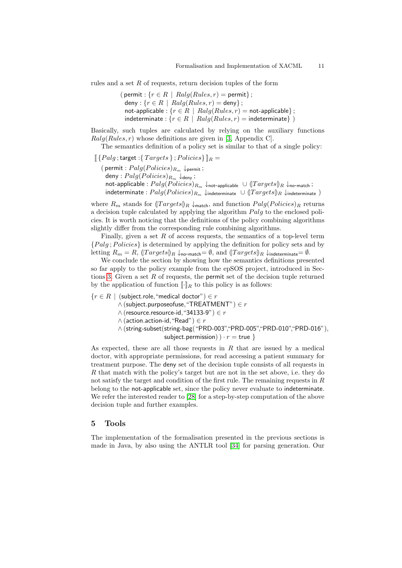rules and a set R of requests, return decision tuples of the form

( permit :  $\{r \in R \mid \text{Ralg}(\text{Rules}, r) = \text{permit}\};$ deny : { $r \in R$  |  $Ralg(Rules, r) =$  deny}; not-applicable :  $\{r \in R \mid \text{Radg}(Rules, r) = \text{not-applicable}\}\;;$ indeterminate :  $\{r \in R \mid \text{Rad}(Rules, r) = \text{indeterminate}\}\)$ 

Basically, such tuples are calculated by relying on the auxiliary functions  $\text{Rad}(Rules, r)$  whose definitions are given in [\[3,](#page-12-2) Appendix C].

The semantics definition of a policy set is similar to that of a single policy:

 $\llbracket \{ Palg \text{;target :} \{ Targets \} \} \text{;} Policies \} \rrbracket_R =$ ( permit :  $Palg(Policies)_{R_m} \downarrow_{\text{permit}}$  ; deny :  $Palg(Policies)_{R_m} \downarrow_{\text{deny}}$ ; not-applicable :  $Palg(Policies)_{R_m} \downarrow$ not-applicable  $\cup$   $\langle Targets \rangle_R \downarrow$ no-match; indeterminate :  $Palg(Polices)_{R_m}$  ↓indeterminate  $\cup$  ( $Targets$ ) $_R$  ↓indeterminate)

where  $R_m$  stands for  $(Targets)$ <sub>R</sub>  $\downarrow$ <sub>match</sub>, and function  $Palg(Polices)$ <sub>R</sub> returns a decision tuple calculated by applying the algorithm  $Palg$  to the enclosed policies. It is worth noticing that the definitions of the policy combining algorithms slightly differ from the corresponding rule combining algorithms.

Finally, given a set R of access requests, the semantics of a top-level term  ${Palg;Policies}$  is determined by applying the definition for policy sets and by letting  $R_m = R$ ,  $(Targets|_{R} \downarrow_{\text{no-match}} = \emptyset$ , and  $(Targets|_{R} \downarrow_{\text{indeterminate}} = \emptyset$ .

We conclude the section by showing how the semantics definitions presented so far apply to the policy example from the epSOS project, introduced in Sec-tions [3.](#page-5-0) Given a set  $R$  of requests, the permit set of the decision tuple returned by the application of function  $\llbracket \cdot \rrbracket_R$  to this policy is as follows:

 ${r \in R \mid$  (subject.role, "medical doctor")  $\in r$  $\wedge$  (subject.purposeofuse, "TREATMENT")  $\in$  r  $\wedge$  (resource.resource-id, "34133-9")  $\in$  r  $\wedge$  (action.action-id, "Read")  $\in$  r ∧ (string-subset(string-bag("PRD-003","PRD-005","PRD-010","PRD-016"), subject.permission)  $\cdot r = \text{true}$ 

As expected, these are all those requests in  $R$  that are issued by a medical doctor, with appropriate permissions, for read accessing a patient summary for treatment purpose. The deny set of the decision tuple consists of all requests in R that match with the policy's target but are not in the set above, i.e. they do not satisfy the target and condition of the first rule. The remaining requests in  $R$ belong to the not-applicable set, since the policy never evaluate to indeterminate. We refer the interested reader to [\[28\]](#page-13-16) for a step-by-step computation of the above decision tuple and further examples.

#### <span id="page-10-0"></span>5 Tools

The implementation of the formalisation presented in the previous sections is made in Java, by also using the ANTLR tool [\[34\]](#page-13-22) for parsing generation. Our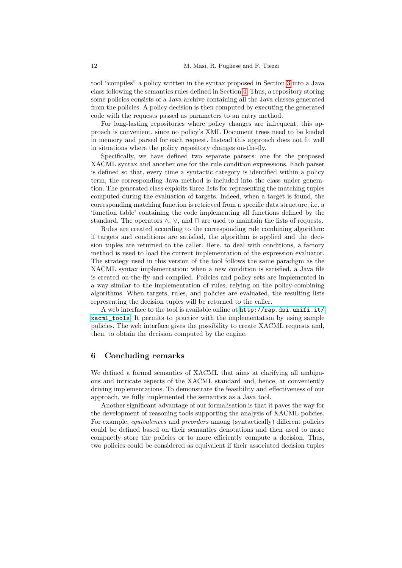tool "compiles" a policy written in the syntax proposed in Section [3](#page-4-0) into a Java class following the semantics rules defined in Section [4.](#page-8-0) Thus, a repository storing some policies consists of a Java archive containing all the Java classes generated from the policies. A policy decision is then computed by executing the generated code with the requests passed as parameters to an entry method.

For long-lasting repositories where policy changes are infrequent, this approach is convenient, since no policy's XML Document trees need to be loaded in memory and parsed for each request. Instead this approach does not fit well in situations where the policy repository changes on-the-fly.

Specifically, we have defined two separate parsers: one for the proposed XACML syntax and another one for the rule condition expressions. Each parser is defined so that, every time a syntactic category is identified within a policy term, the corresponding Java method is included into the class under generation. The generated class exploits three lists for representing the matching tuples computed during the evaluation of targets. Indeed, when a target is found, the corresponding matching function is retrieved from a specific data structure, i.e. a 'function table' containing the code implementing all functions defined by the standard. The operators  $\wedge$ ,  $\vee$ , and  $\Box$  are used to maintain the lists of requests.

Rules are created according to the corresponding rule combining algorithm: if targets and conditions are satisfied, the algorithm is applied and the decision tuples are returned to the caller. Here, to deal with conditions, a factory method is used to load the current implementation of the expression evaluator. The strategy used in this version of the tool follows the same paradigm as the XACML syntax implementation: when a new condition is satisfied, a Java file is created on-the-fly and compiled. Policies and policy sets are implemented in a way similar to the implementation of rules, relying on the policy-combining algorithms. When targets, rules, and policies are evaluated, the resulting lists representing the decision tuples will be returned to the caller.

A web interface to the tool is available online at [http://rap.dsi.unifi.it/](http://rap.dsi.unifi.it/xacml_tools) [xacml\\_tools](http://rap.dsi.unifi.it/xacml_tools). It permits to practice with the implementation by using sample policies. The web interface gives the possibility to create XACML requests and, then, to obtain the decision computed by the engine.

#### <span id="page-11-0"></span>6 Concluding remarks

We defined a formal semantics of XACML that aims at clarifying all ambiguous and intricate aspects of the XACML standard and, hence, at conveniently driving implementations. To demonstrate the feasibility and effectiveness of our approach, we fully implemented the semantics as a Java tool.

Another significant advantage of our formalisation is that it paves the way for the development of reasoning tools supporting the analysis of XACML policies. For example, *equivalences* and *preorders* among (syntactically) different policies could be defined based on their semantics denotations and then used to more compactly store the policies or to more efficiently compute a decision. Thus, two policies could be considered as equivalent if their associated decision tuples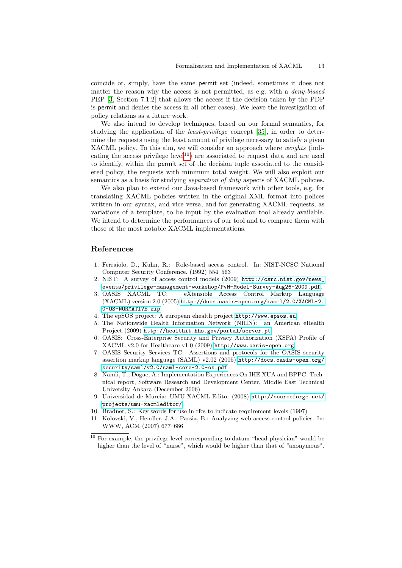coincide or, simply, have the same permit set (indeed, sometimes it does not matter the reason why the access is not permitted, as e.g. with a deny-biased PEP [\[3,](#page-12-2) Section 7.1.2] that allows the access if the decision taken by the PDP is permit and denies the access in all other cases). We leave the investigation of policy relations as a future work.

We also intend to develop techniques, based on our formal semantics, for studying the application of the least-privilege concept [\[35\]](#page-13-23), in order to determine the requests using the least amount of privilege necessary to satisfy a given XACML policy. To this aim, we will consider an approach where weights (indi-cating the access privilege level<sup>[10](#page-12-11)</sup>) are associated to request data and are used to identify, within the permit set of the decision tuple associated to the considered policy, the requests with minimum total weight. We will also exploit our semantics as a basis for studying *separation of duty* aspects of XACML policies.

We also plan to extend our Java-based framework with other tools, e.g. for translating XACML policies written in the original XML format into polices written in our syntax, and vice versa, and for generating XACML requests, as variations of a template, to be input by the evaluation tool already available. We intend to determine the performances of our tool and to compare them with those of the most notable XACML implementations.

# References

- <span id="page-12-0"></span>1. Ferraiolo, D., Kuhn, R.: Role-based access control. In: NIST-NCSC National Computer Security Conference. (1992) 554–563
- <span id="page-12-1"></span>2. NIST: A survey of access control models (2009) [http://csrc.nist.gov/news\\_](http://csrc.nist.gov/news_events/privilege-management-workshop/PvM-Model-Survey-Aug26-2009.pdf) [events/privilege-management-workshop/PvM-Model-Survey-Aug26-2009.pdf](http://csrc.nist.gov/news_events/privilege-management-workshop/PvM-Model-Survey-Aug26-2009.pdf).
- <span id="page-12-2"></span>3. OASIS XACML TC: eXtensible Access Control Markup Language (XACML) version 2.0 (2005) [http://docs.oasis-open.org/xacml/2.0/XACML-2.](http://docs.oasis-open.org/xacml/2.0/XACML-2.0-OS-NORMATIVE.zip) [0-OS-NORMATIVE.zip](http://docs.oasis-open.org/xacml/2.0/XACML-2.0-OS-NORMATIVE.zip).
- <span id="page-12-3"></span>4. The epSOS project: A european ehealth project <http://www.epsos.eu>.
- <span id="page-12-4"></span>5. The Nationwide Health Information Network (NHIN): an American eHealth Project (2009) <http://healthit.hhs.gov/portal/server.pt>.
- <span id="page-12-5"></span>6. OASIS: Cross-Enterprise Security and Privacy Authorization (XSPA) Profile of XACML v2.0 for Healthcare v1.0 (2009) <http://www.oasis-open.org>.
- <span id="page-12-6"></span>7. OASIS Security Services TC: Assertions and protocols for the OASIS security assertion markup language (SAML) v2.02 (2005) [http://docs.oasis-open.org/](http://docs.oasis-open.org/security/saml/v2.0/saml-core-2.0-os.pdf) [security/saml/v2.0/saml-core-2.0-os.pdf](http://docs.oasis-open.org/security/saml/v2.0/saml-core-2.0-os.pdf).
- <span id="page-12-7"></span>8. Namli, T., Dogac, A.: Implementation Experiences On IHE XUA and BPPC. Technical report, Software Research and Development Center, Middle East Technical University Ankara (December 2006)
- <span id="page-12-8"></span>9. Universidad de Murcia: UMU-XACML-Editor (2008) [http://sourceforge.net/](http://sourceforge.net/projects/umu-xacmleditor/) [projects/umu-xacmleditor/](http://sourceforge.net/projects/umu-xacmleditor/).
- <span id="page-12-9"></span>10. Bradner, S.: Key words for use in rfcs to indicate requirement levels (1997)
- <span id="page-12-10"></span>11. Kolovski, V., Hendler, J.A., Parsia, B.: Analyzing web access control policies. In: WWW, ACM (2007) 677–686
- <span id="page-12-11"></span><sup>10</sup> For example, the privilege level corresponding to datum "head physician" would be higher than the level of "nurse", which would be higher than that of "anonymous".